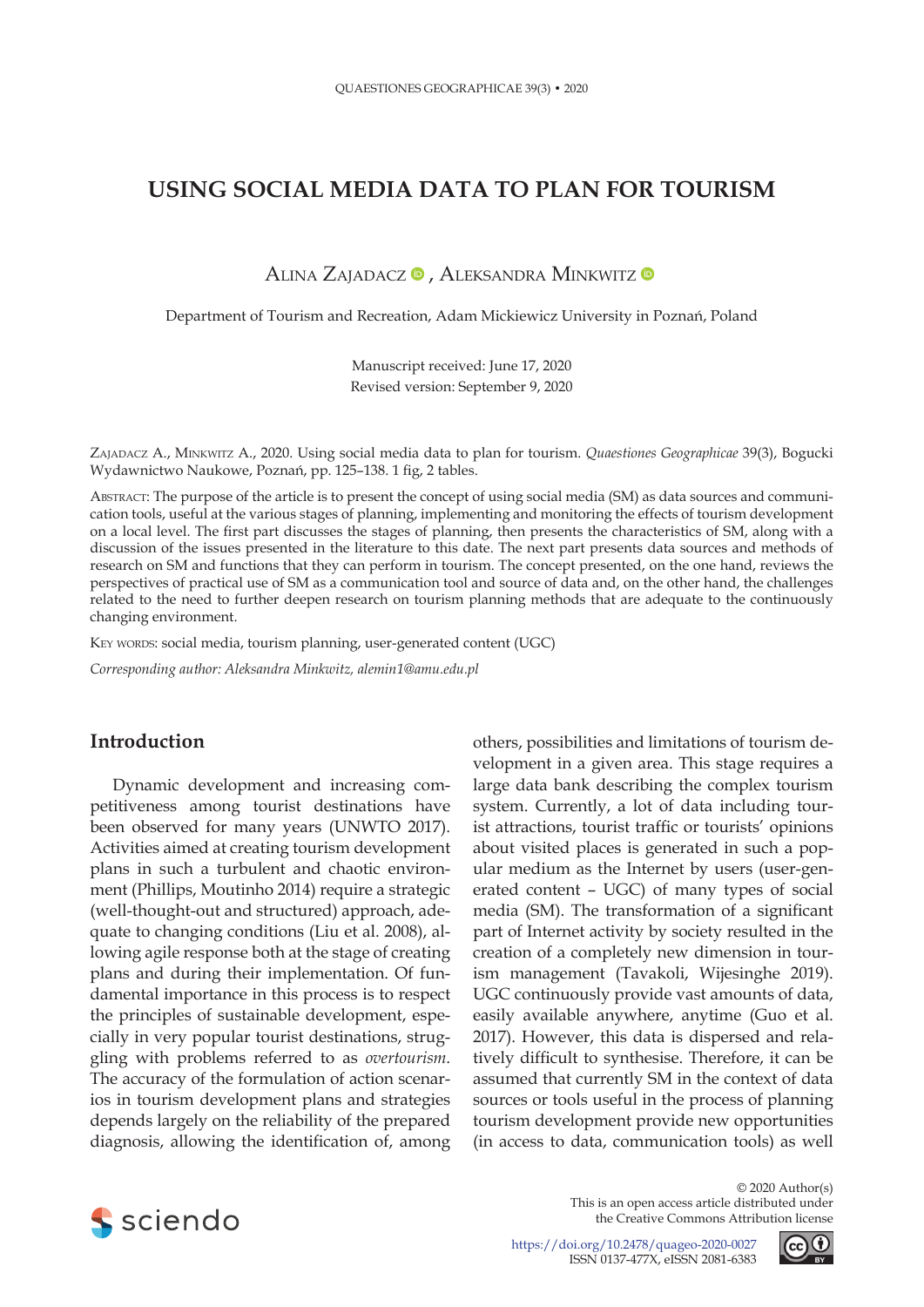# **USING SOCIAL MEDIA DATA TO PLAN FOR TOURISM**

ALINA ZAJADACZ <sup>®</sup>, ALEKSANDRA MINKWITZ <sup>®</sup>

Department of Tourism and Recreation, Adam Mickiewicz University in Poznań, Poland

Manuscript received: June 17, 2020 Revised version: September 9, 2020

Zajadacz A., Minkwitz A., 2020. Using social media data to plan for tourism. *Quaestiones Geographicae* 39(3), Bogucki Wydawnictwo Naukowe, Poznań, pp. 125–138. 1 fig, 2 tables.

Abstract: The purpose of the article is to present the concept of using social media (SM) as data sources and communication tools, useful at the various stages of planning, implementing and monitoring the effects of tourism development on a local level. The first part discusses the stages of planning, then presents the characteristics of SM, along with a discussion of the issues presented in the literature to this date. The next part presents data sources and methods of research on SM and functions that they can perform in tourism. The concept presented, on the one hand, reviews the perspectives of practical use of SM as a communication tool and source of data and, on the other hand, the challenges related to the need to further deepen research on tourism planning methods that are adequate to the continuously changing environment.

KEY WORDS: social media, tourism planning, user-generated content (UGC)

*Corresponding author: Aleksandra Minkwitz, [alemin1@amu.edu.pl](mailto:alemin1@amu.edu.pl)*

## **Introduction**

Dynamic development and increasing competitiveness among tourist destinations have been observed for many years (UNWTO 2017). Activities aimed at creating tourism development plans in such a turbulent and chaotic environment (Phillips, Moutinho 2014) require a strategic (well-thought-out and structured) approach, adequate to changing conditions (Liu et al. 2008), allowing agile response both at the stage of creating plans and during their implementation. Of fundamental importance in this process is to respect the principles of sustainable development, especially in very popular tourist destinations, struggling with problems referred to as *overtourism*. The accuracy of the formulation of action scenarios in tourism development plans and strategies depends largely on the reliability of the prepared diagnosis, allowing the identification of, among

others, possibilities and limitations of tourism development in a given area. This stage requires a large data bank describing the complex tourism system. Currently, a lot of data including tourist attractions, tourist traffic or tourists' opinions about visited places is generated in such a popular medium as the Internet by users (user-generated content – UGC) of many types of social media (SM). The transformation of a significant part of Internet activity by society resulted in the creation of a completely new dimension in tourism management (Tavakoli, Wijesinghe 2019). UGC continuously provide vast amounts of data, easily available anywhere, anytime (Guo et al. 2017). However, this data is dispersed and relatively difficult to synthesise. Therefore, it can be assumed that currently SM in the context of data sources or tools useful in the process of planning tourism development provide new opportunities (in access to data, communication tools) as well



© 2020 Author(s) This is an open access article distributed under the Creative Commons Attribution license

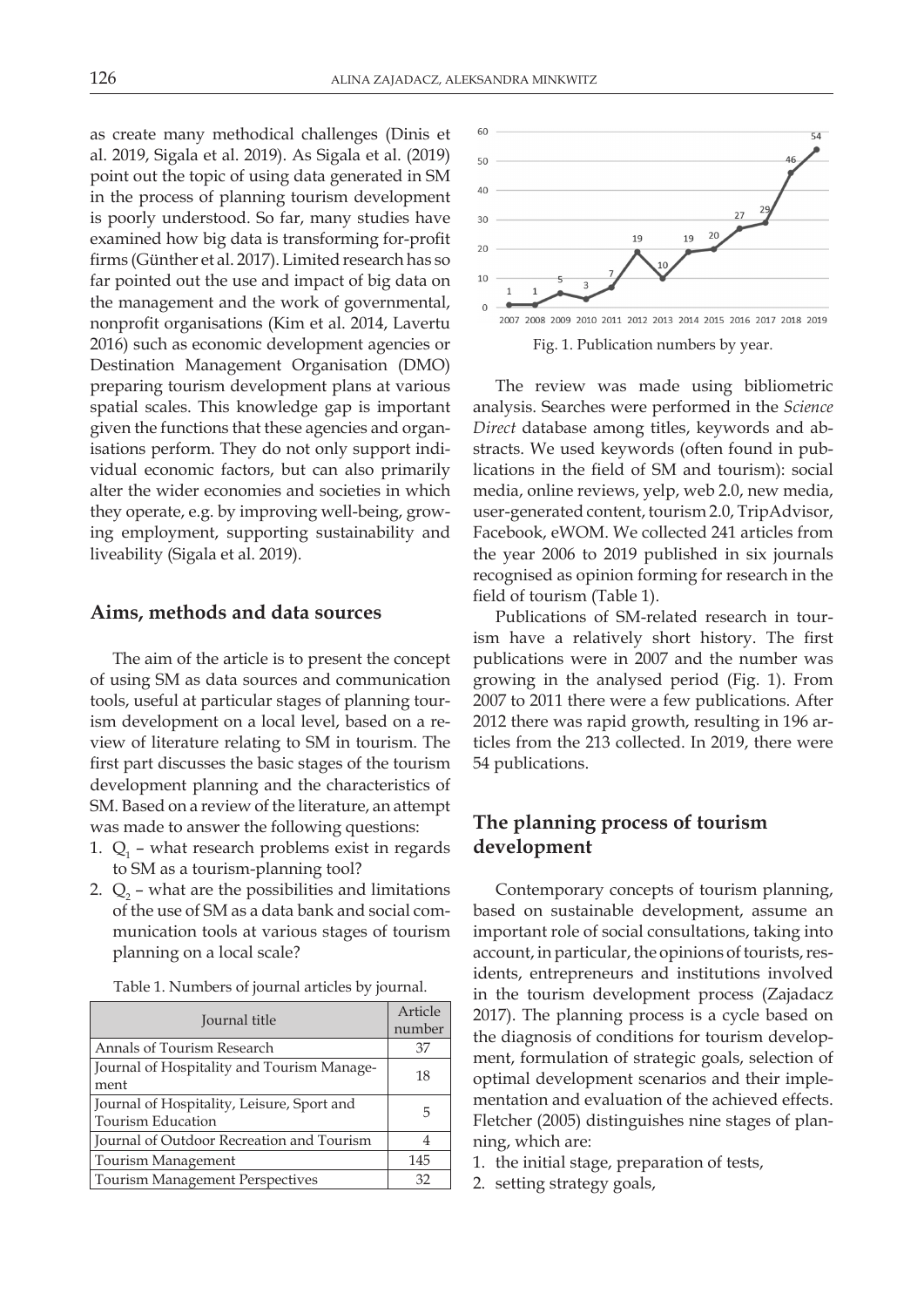as create many methodical challenges (Dinis et al. 2019, Sigala et al. 2019). As Sigala et al. (2019) point out the topic of using data generated in SM in the process of planning tourism development is poorly understood. So far, many studies have examined how big data is transforming for-profit firms (Günther et al. 2017). Limited research has so far pointed out the use and impact of big data on the management and the work of governmental, nonprofit organisations (Kim et al. 2014, Lavertu 2016) such as economic development agencies or Destination Management Organisation (DMO) preparing tourism development plans at various spatial scales. This knowledge gap is important given the functions that these agencies and organisations perform. They do not only support individual economic factors, but can also primarily alter the wider economies and societies in which they operate, e.g. by improving well-being, growing employment, supporting sustainability and liveability (Sigala et al. 2019).

#### **Aims, methods and data sources**

The aim of the article is to present the concept of using SM as data sources and communication tools, useful at particular stages of planning tourism development on a local level, based on a review of literature relating to SM in tourism. The first part discusses the basic stages of the tourism development planning and the characteristics of SM. Based on a review of the literature, an attempt was made to answer the following questions:

- 1.  $Q_1$  what research problems exist in regards to SM as a tourism-planning tool?
- 2.  $Q_2$  what are the possibilities and limitations of the use of SM as a data bank and social communication tools at various stages of tourism planning on a local scale?

Table 1. Numbers of journal articles by journal.

| Journal title                                                          | Article<br>number |
|------------------------------------------------------------------------|-------------------|
| Annals of Tourism Research                                             | 37                |
| Journal of Hospitality and Tourism Manage-<br>ment                     | 18                |
| Journal of Hospitality, Leisure, Sport and<br><b>Tourism Education</b> | 5                 |
| Journal of Outdoor Recreation and Tourism                              | 4                 |
| Tourism Management                                                     | 145               |
| <b>Tourism Management Perspectives</b>                                 | 32                |



Fig. 1. Publication numbers by year.

The review was made using bibliometric analysis. Searches were performed in the *Science Direct* database among titles, keywords and abstracts. We used keywords (often found in publications in the field of SM and tourism): social media, online reviews, yelp, web 2.0, new media, user-generated content, tourism 2.0, TripAdvisor, Facebook, eWOM. We collected 241 articles from the year 2006 to 2019 published in six journals recognised as opinion forming for research in the field of tourism (Table 1).

Publications of SM-related research in tourism have a relatively short history. The first publications were in 2007 and the number was growing in the analysed period (Fig. 1). From 2007 to 2011 there were a few publications. After 2012 there was rapid growth, resulting in 196 articles from the 213 collected. In 2019, there were 54 publications.

## **The planning process of tourism development**

Contemporary concepts of tourism planning, based on sustainable development, assume an important role of social consultations, taking into account, in particular, the opinions of tourists, residents, entrepreneurs and institutions involved in the tourism development process (Zajadacz 2017). The planning process is a cycle based on the diagnosis of conditions for tourism development, formulation of strategic goals, selection of optimal development scenarios and their implementation and evaluation of the achieved effects. Fletcher (2005) distinguishes nine stages of planning, which are:

- 1. the initial stage, preparation of tests,
- 2. setting strategy goals,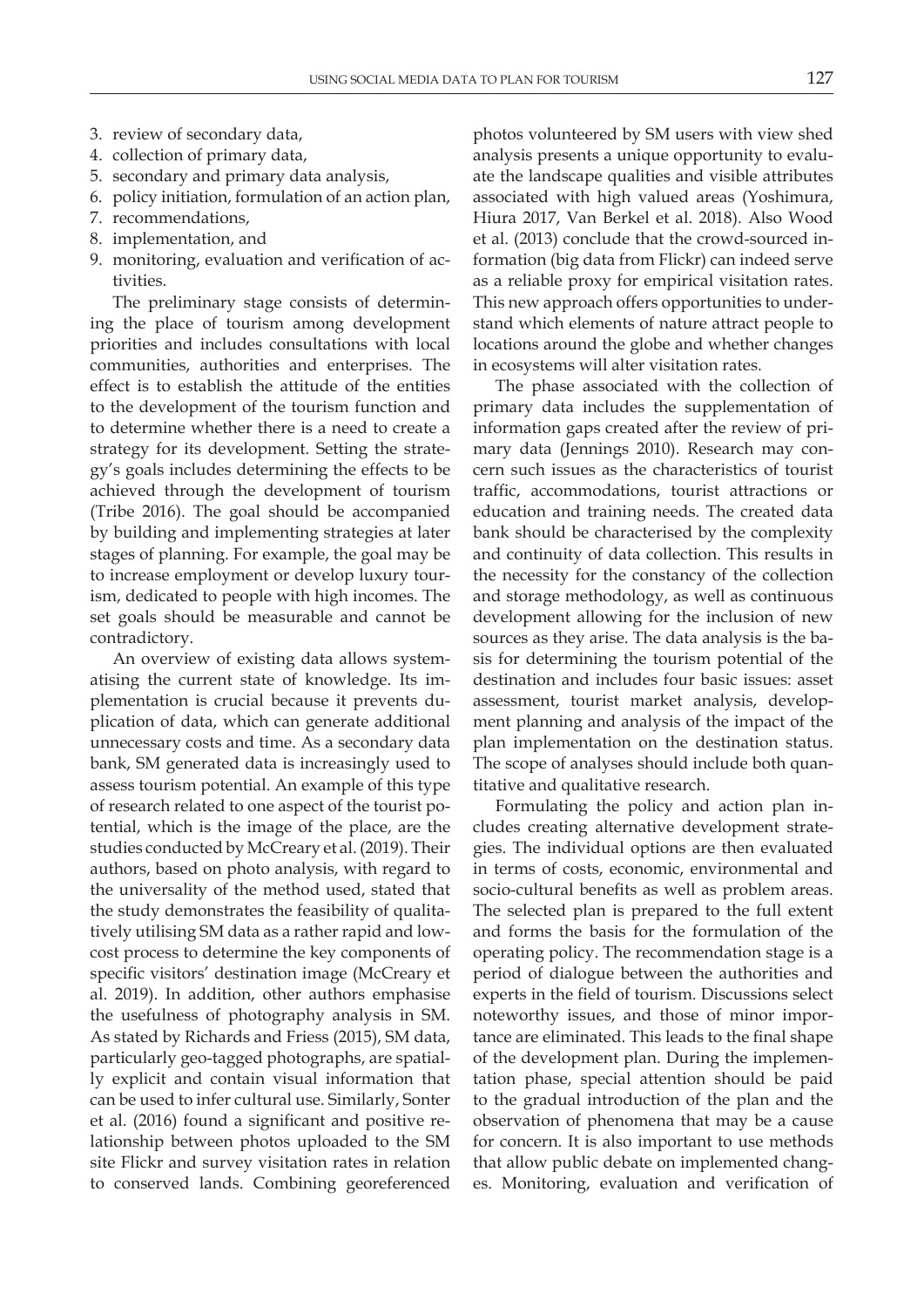- 3. review of secondary data,
- 4. collection of primary data,
- 5. secondary and primary data analysis,
- 6. policy initiation, formulation of an action plan,
- 7. recommendations,
- 8. implementation, and
- 9. monitoring, evaluation and verification of activities.

The preliminary stage consists of determining the place of tourism among development priorities and includes consultations with local communities, authorities and enterprises. The effect is to establish the attitude of the entities to the development of the tourism function and to determine whether there is a need to create a strategy for its development. Setting the strategy's goals includes determining the effects to be achieved through the development of tourism (Tribe 2016). The goal should be accompanied by building and implementing strategies at later stages of planning. For example, the goal may be to increase employment or develop luxury tourism, dedicated to people with high incomes. The set goals should be measurable and cannot be contradictory.

An overview of existing data allows systematising the current state of knowledge. Its implementation is crucial because it prevents duplication of data, which can generate additional unnecessary costs and time. As a secondary data bank, SM generated data is increasingly used to assess tourism potential. An example of this type of research related to one aspect of the tourist potential, which is the image of the place, are the studies conducted by McCreary et al. (2019). Their authors, based on photo analysis, with regard to the universality of the method used, stated that the study demonstrates the feasibility of qualitatively utilising SM data as a rather rapid and lowcost process to determine the key components of specific visitors' destination image (McCreary et al. 2019). In addition, other authors emphasise the usefulness of photography analysis in SM. As stated by Richards and Friess (2015), SM data, particularly geo-tagged photographs, are spatially explicit and contain visual information that can be used to infer cultural use. Similarly, Sonter et al. (2016) found a significant and positive relationship between photos uploaded to the SM site Flickr and survey visitation rates in relation to conserved lands. Combining georeferenced

photos volunteered by SM users with view shed analysis presents a unique opportunity to evaluate the landscape qualities and visible attributes associated with high valued areas (Yoshimura, Hiura 2017, Van Berkel et al. 2018). Also Wood et al. (2013) conclude that the crowd-sourced information (big data from Flickr) can indeed serve as a reliable proxy for empirical visitation rates. This new approach offers opportunities to understand which elements of nature attract people to locations around the globe and whether changes in ecosystems will alter visitation rates.

The phase associated with the collection of primary data includes the supplementation of information gaps created after the review of primary data (Jennings 2010). Research may concern such issues as the characteristics of tourist traffic, accommodations, tourist attractions or education and training needs. The created data bank should be characterised by the complexity and continuity of data collection. This results in the necessity for the constancy of the collection and storage methodology, as well as continuous development allowing for the inclusion of new sources as they arise. The data analysis is the basis for determining the tourism potential of the destination and includes four basic issues: asset assessment, tourist market analysis, development planning and analysis of the impact of the plan implementation on the destination status. The scope of analyses should include both quantitative and qualitative research.

Formulating the policy and action plan includes creating alternative development strategies. The individual options are then evaluated in terms of costs, economic, environmental and socio-cultural benefits as well as problem areas. The selected plan is prepared to the full extent and forms the basis for the formulation of the operating policy. The recommendation stage is a period of dialogue between the authorities and experts in the field of tourism. Discussions select noteworthy issues, and those of minor importance are eliminated. This leads to the final shape of the development plan. During the implementation phase, special attention should be paid to the gradual introduction of the plan and the observation of phenomena that may be a cause for concern. It is also important to use methods that allow public debate on implemented changes. Monitoring, evaluation and verification of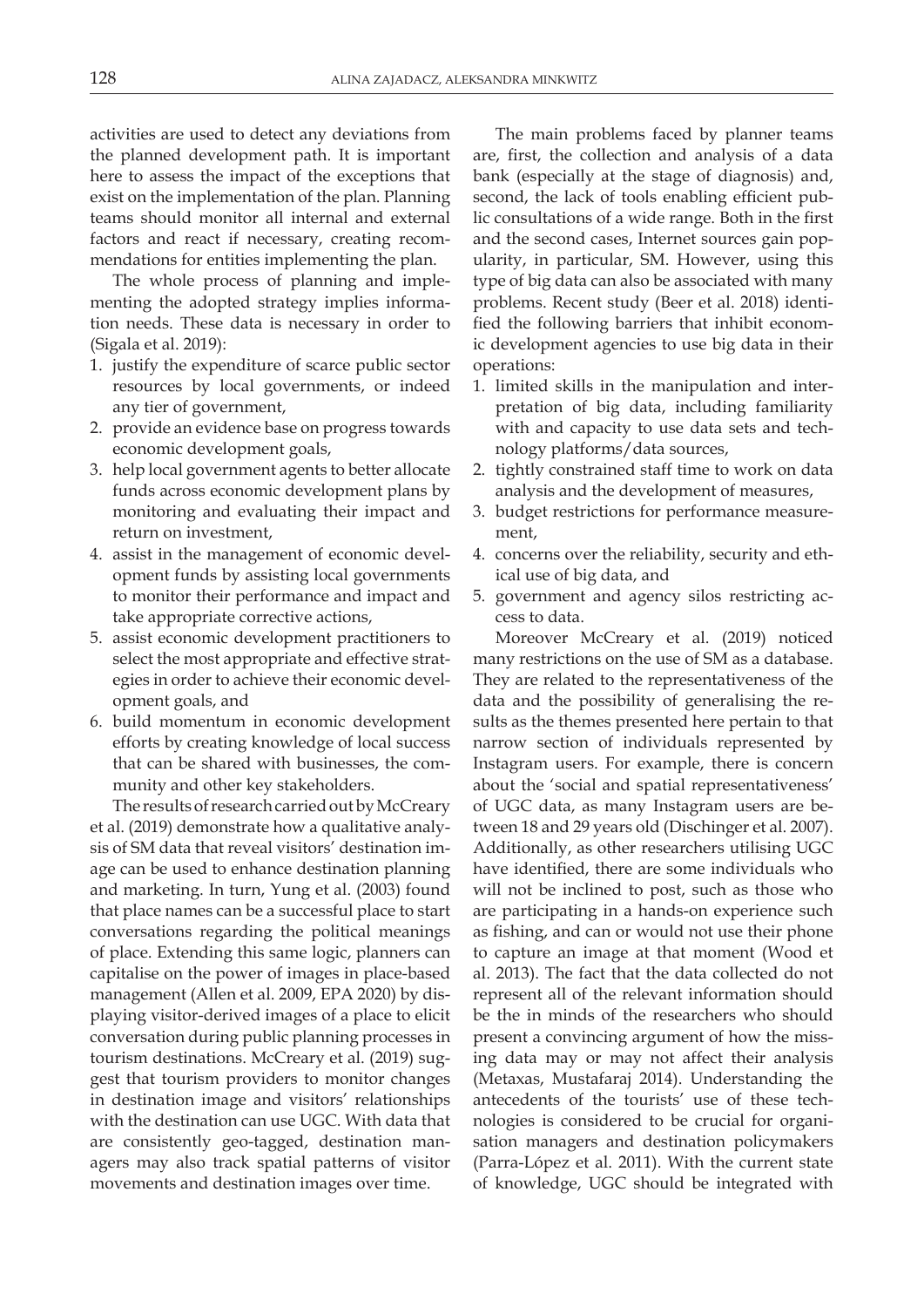activities are used to detect any deviations from the planned development path. It is important here to assess the impact of the exceptions that exist on the implementation of the plan. Planning teams should monitor all internal and external factors and react if necessary, creating recommendations for entities implementing the plan.

The whole process of planning and implementing the adopted strategy implies information needs. These data is necessary in order to (Sigala et al. 2019):

- 1. justify the expenditure of scarce public sector resources by local governments, or indeed any tier of government,
- 2. provide an evidence base on progress towards economic development goals,
- 3. help local government agents to better allocate funds across economic development plans by monitoring and evaluating their impact and return on investment,
- 4. assist in the management of economic development funds by assisting local governments to monitor their performance and impact and take appropriate corrective actions,
- 5. assist economic development practitioners to select the most appropriate and effective strategies in order to achieve their economic development goals, and
- 6. build momentum in economic development efforts by creating knowledge of local success that can be shared with businesses, the community and other key stakeholders.

The results of research carried out by McCreary et al. (2019) demonstrate how a qualitative analysis of SM data that reveal visitors' destination image can be used to enhance destination planning and marketing. In turn, Yung et al. (2003) found that place names can be a successful place to start conversations regarding the political meanings of place. Extending this same logic, planners can capitalise on the power of images in place-based management (Allen et al. 2009, EPA 2020) by displaying visitor-derived images of a place to elicit conversation during public planning processes in tourism destinations. McCreary et al. (2019) suggest that tourism providers to monitor changes in destination image and visitors' relationships with the destination can use UGC. With data that are consistently geo-tagged, destination managers may also track spatial patterns of visitor movements and destination images over time.

The main problems faced by planner teams are, first, the collection and analysis of a data bank (especially at the stage of diagnosis) and, second, the lack of tools enabling efficient public consultations of a wide range. Both in the first and the second cases, Internet sources gain popularity, in particular, SM. However, using this type of big data can also be associated with many problems. Recent study (Beer et al. 2018) identified the following barriers that inhibit economic development agencies to use big data in their operations:

- 1. limited skills in the manipulation and interpretation of big data, including familiarity with and capacity to use data sets and technology platforms/data sources,
- 2. tightly constrained staff time to work on data analysis and the development of measures,
- 3. budget restrictions for performance measurement,
- 4. concerns over the reliability, security and ethical use of big data, and
- 5. government and agency silos restricting access to data.

Moreover McCreary et al. (2019) noticed many restrictions on the use of SM as a database. They are related to the representativeness of the data and the possibility of generalising the results as the themes presented here pertain to that narrow section of individuals represented by Instagram users. For example, there is concern about the 'social and spatial representativeness' of UGC data, as many Instagram users are between 18 and 29 years old (Dischinger et al. 2007). Additionally, as other researchers utilising UGC have identified, there are some individuals who will not be inclined to post, such as those who are participating in a hands-on experience such as fishing, and can or would not use their phone to capture an image at that moment (Wood et al. 2013). The fact that the data collected do not represent all of the relevant information should be the in minds of the researchers who should present a convincing argument of how the missing data may or may not affect their analysis (Metaxas, Mustafaraj 2014). Understanding the antecedents of the tourists' use of these technologies is considered to be crucial for organisation managers and destination policymakers (Parra-López et al. 2011). With the current state of knowledge, UGC should be integrated with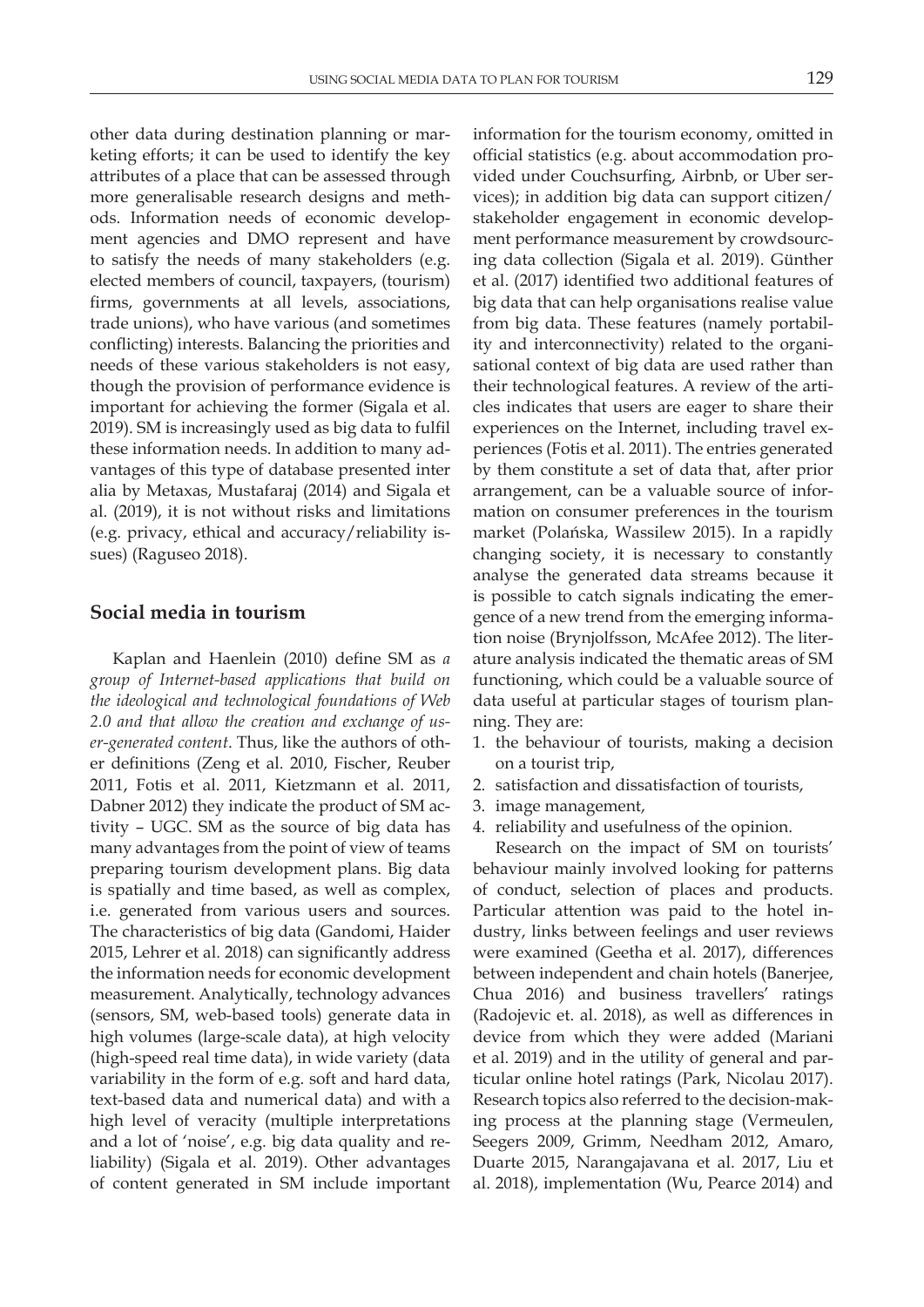other data during destination planning or marketing efforts; it can be used to identify the key attributes of a place that can be assessed through more generalisable research designs and methods. Information needs of economic development agencies and DMO represent and have to satisfy the needs of many stakeholders (e.g. elected members of council, taxpayers, (tourism) firms, governments at all levels, associations, trade unions), who have various (and sometimes conflicting) interests. Balancing the priorities and needs of these various stakeholders is not easy, though the provision of performance evidence is important for achieving the former (Sigala et al. 2019). SM is increasingly used as big data to fulfil these information needs. In addition to many advantages of this type of database presented inter alia by Metaxas, Mustafaraj (2014) and Sigala et al. (2019), it is not without risks and limitations (e.g. privacy, ethical and accuracy/reliability issues) (Raguseo 2018).

### **Social media in tourism**

Kaplan and Haenlein (2010) define SM as *a group of Internet-based applications that build on the ideological and technological foundations of Web 2.0 and that allow the creation and exchange of user-generated content*. Thus, like the authors of other definitions (Zeng et al. 2010, Fischer, Reuber 2011, Fotis et al. 2011, Kietzmann et al. 2011, Dabner 2012) they indicate the product of SM activity – UGC. SM as the source of big data has many advantages from the point of view of teams preparing tourism development plans. Big data is spatially and time based, as well as complex, i.e. generated from various users and sources. The characteristics of big data (Gandomi, Haider 2015, Lehrer et al. 2018) can significantly address the information needs for economic development measurement. Analytically, technology advances (sensors, SM, web-based tools) generate data in high volumes (large-scale data), at high velocity (high-speed real time data), in wide variety (data variability in the form of e.g. soft and hard data, text-based data and numerical data) and with a high level of veracity (multiple interpretations and a lot of 'noise', e.g. big data quality and reliability) (Sigala et al. 2019). Other advantages of content generated in SM include important

information for the tourism economy, omitted in official statistics (e.g. about accommodation provided under Couchsurfing, Airbnb, or Uber services); in addition big data can support citizen/ stakeholder engagement in economic development performance measurement by crowdsourcing data collection (Sigala et al. 2019). Günther et al. (2017) identified two additional features of big data that can help organisations realise value from big data. These features (namely portability and interconnectivity) related to the organisational context of big data are used rather than their technological features. A review of the articles indicates that users are eager to share their experiences on the Internet, including travel experiences (Fotis et al. 2011). The entries generated by them constitute a set of data that, after prior arrangement, can be a valuable source of information on consumer preferences in the tourism market (Polańska, Wassilew 2015). In a rapidly changing society, it is necessary to constantly analyse the generated data streams because it is possible to catch signals indicating the emergence of a new trend from the emerging information noise (Brynjolfsson, McAfee 2012). The literature analysis indicated the thematic areas of SM functioning, which could be a valuable source of data useful at particular stages of tourism planning. They are:

- 1. the behaviour of tourists, making a decision on a tourist trip,
- 2. satisfaction and dissatisfaction of tourists,
- 3. image management,
- 4. reliability and usefulness of the opinion.

Research on the impact of SM on tourists' behaviour mainly involved looking for patterns of conduct, selection of places and products. Particular attention was paid to the hotel industry, links between feelings and user reviews were examined (Geetha et al. 2017), differences between independent and chain hotels (Banerjee, Chua 2016) and business travellers' ratings (Radojevic et. al. 2018), as well as differences in device from which they were added (Mariani et al. 2019) and in the utility of general and particular online hotel ratings (Park, Nicolau 2017). Research topics also referred to the decision-making process at the planning stage (Vermeulen, Seegers 2009, Grimm, Needham 2012, Amaro, Duarte 2015, Narangajavana et al. 2017, Liu et al. 2018), implementation (Wu, Pearce 2014) and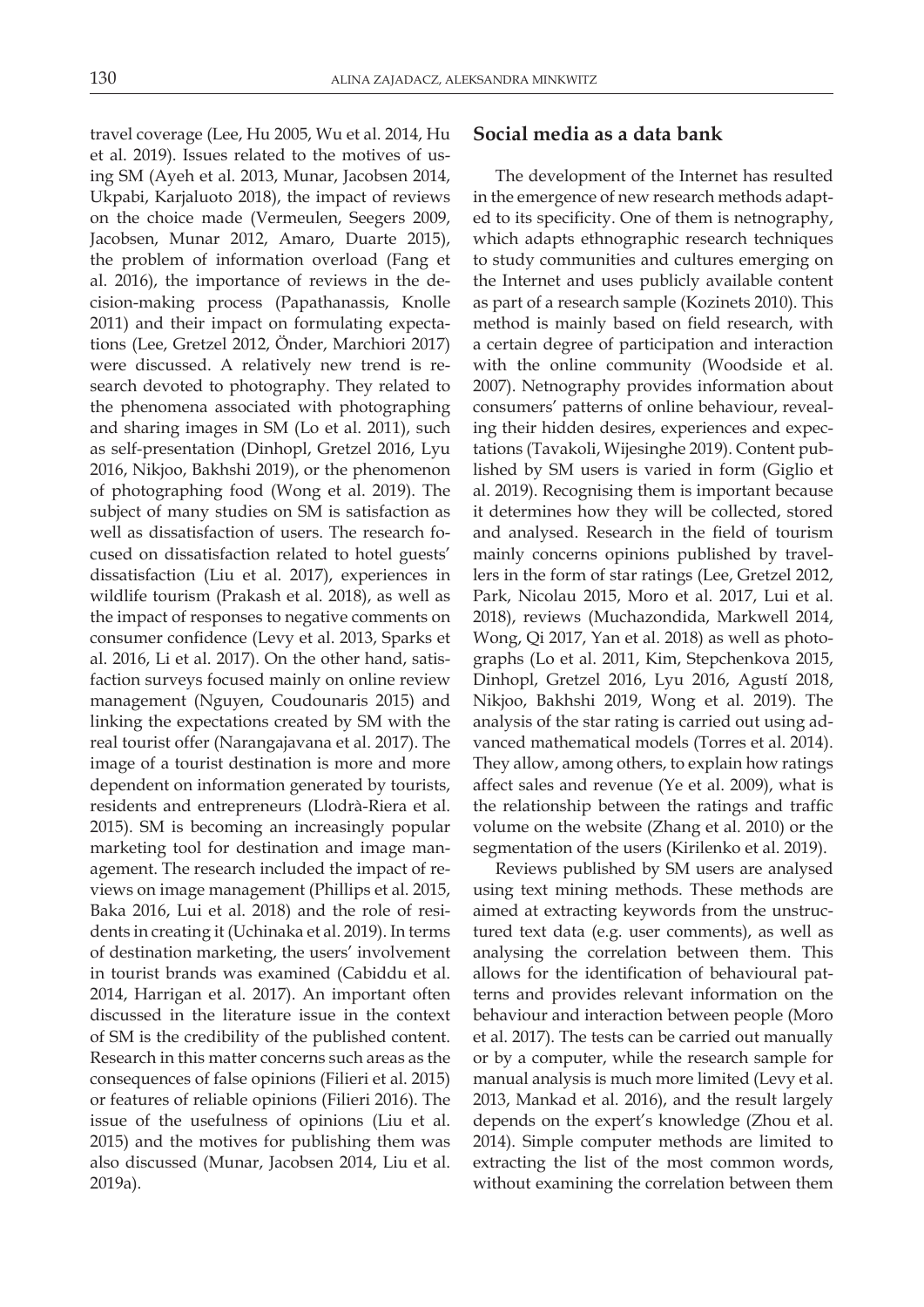travel coverage (Lee, Hu 2005, Wu et al. 2014, Hu et al. 2019). Issues related to the motives of using SM (Ayeh et al. 2013, Munar, Jacobsen 2014, Ukpabi, Karjaluoto 2018), the impact of reviews on the choice made (Vermeulen, Seegers 2009, Jacobsen, Munar 2012, Amaro, Duarte 2015), the problem of information overload (Fang et al. 2016), the importance of reviews in the decision-making process (Papathanassis, Knolle 2011) and their impact on formulating expectations (Lee, Gretzel 2012, Önder, Marchiori 2017) were discussed. A relatively new trend is research devoted to photography. They related to the phenomena associated with photographing and sharing images in SM (Lo et al. 2011), such as self-presentation (Dinhopl, Gretzel 2016, Lyu 2016, Nikjoo, Bakhshi 2019), or the phenomenon of photographing food (Wong et al. 2019). The subject of many studies on SM is satisfaction as well as dissatisfaction of users. The research focused on dissatisfaction related to hotel guests' dissatisfaction (Liu et al. 2017), experiences in wildlife tourism (Prakash et al. 2018), as well as the impact of responses to negative comments on consumer confidence (Levy et al. 2013, Sparks et al. 2016, Li et al. 2017). On the other hand, satisfaction surveys focused mainly on online review management (Nguyen, Coudounaris 2015) and linking the expectations created by SM with the real tourist offer (Narangajavana et al. 2017). The image of a tourist destination is more and more dependent on information generated by tourists, residents and entrepreneurs (Llodrà-Riera et al. 2015). SM is becoming an increasingly popular marketing tool for destination and image management. The research included the impact of reviews on image management (Phillips et al. 2015, Baka 2016, Lui et al. 2018) and the role of residents in creating it (Uchinaka et al. 2019). In terms of destination marketing, the users' involvement in tourist brands was examined (Cabiddu et al. 2014, Harrigan et al. 2017). An important often discussed in the literature issue in the context of SM is the credibility of the published content. Research in this matter concerns such areas as the consequences of false opinions (Filieri et al. 2015) or features of reliable opinions (Filieri 2016). The issue of the usefulness of opinions (Liu et al. 2015) and the motives for publishing them was also discussed (Munar, Jacobsen 2014, Liu et al. 2019a).

### **Social media as a data bank**

The development of the Internet has resulted in the emergence of new research methods adapted to its specificity. One of them is netnography, which adapts ethnographic research techniques to study communities and cultures emerging on the Internet and uses publicly available content as part of a research sample (Kozinets 2010). This method is mainly based on field research, with a certain degree of participation and interaction with the online community (Woodside et al. 2007). Netnography provides information about consumers' patterns of online behaviour, revealing their hidden desires, experiences and expectations (Tavakoli, Wijesinghe 2019). Content published by SM users is varied in form (Giglio et al. 2019). Recognising them is important because it determines how they will be collected, stored and analysed. Research in the field of tourism mainly concerns opinions published by travellers in the form of star ratings (Lee, Gretzel 2012, Park, Nicolau 2015, Moro et al. 2017, Lui et al. 2018), reviews (Muchazondida, Markwell 2014, Wong, Qi 2017, Yan et al. 2018) as well as photographs (Lo et al. 2011, Kim, Stepchenkova 2015, Dinhopl, Gretzel 2016, Lyu 2016, Agustí 2018, Nikjoo, Bakhshi 2019, Wong et al. 2019). The analysis of the star rating is carried out using advanced mathematical models (Torres et al. 2014). They allow, among others, to explain how ratings affect sales and revenue (Ye et al. 2009), what is the relationship between the ratings and traffic volume on the website (Zhang et al. 2010) or the segmentation of the users (Kirilenko et al. 2019).

Reviews published by SM users are analysed using text mining methods. These methods are aimed at extracting keywords from the unstructured text data (e.g. user comments), as well as analysing the correlation between them. This allows for the identification of behavioural patterns and provides relevant information on the behaviour and interaction between people (Moro et al. 2017). The tests can be carried out manually or by a computer, while the research sample for manual analysis is much more limited (Levy et al. 2013, Mankad et al. 2016), and the result largely depends on the expert's knowledge (Zhou et al. 2014). Simple computer methods are limited to extracting the list of the most common words, without examining the correlation between them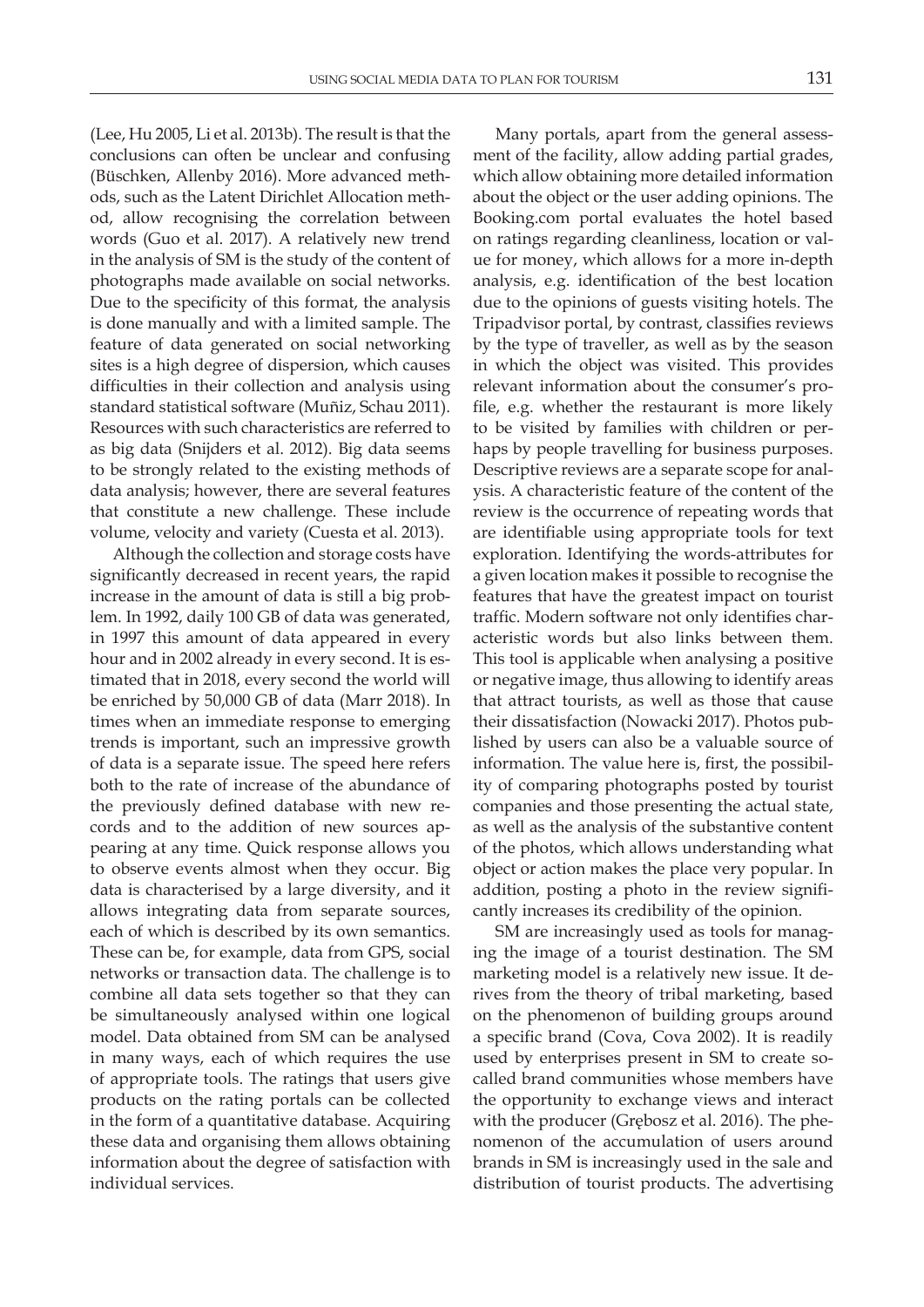(Lee, Hu 2005, Li et al. 2013b). The result is that the conclusions can often be unclear and confusing (Büschken, Allenby 2016). More advanced methods, such as the Latent Dirichlet Allocation method, allow recognising the correlation between words (Guo et al. 2017). A relatively new trend in the analysis of SM is the study of the content of photographs made available on social networks. Due to the specificity of this format, the analysis is done manually and with a limited sample. The feature of data generated on social networking sites is a high degree of dispersion, which causes difficulties in their collection and analysis using standard statistical software (Muñiz, Schau 2011). Resources with such characteristics are referred to as big data (Snijders et al. 2012). Big data seems to be strongly related to the existing methods of data analysis; however, there are several features that constitute a new challenge. These include volume, velocity and variety (Cuesta et al. 2013).

Although the collection and storage costs have significantly decreased in recent years, the rapid increase in the amount of data is still a big problem. In 1992, daily 100 GB of data was generated, in 1997 this amount of data appeared in every hour and in 2002 already in every second. It is estimated that in 2018, every second the world will be enriched by 50,000 GB of data (Marr 2018). In times when an immediate response to emerging trends is important, such an impressive growth of data is a separate issue. The speed here refers both to the rate of increase of the abundance of the previously defined database with new records and to the addition of new sources appearing at any time. Quick response allows you to observe events almost when they occur. Big data is characterised by a large diversity, and it allows integrating data from separate sources, each of which is described by its own semantics. These can be, for example, data from GPS, social networks or transaction data. The challenge is to combine all data sets together so that they can be simultaneously analysed within one logical model. Data obtained from SM can be analysed in many ways, each of which requires the use of appropriate tools. The ratings that users give products on the rating portals can be collected in the form of a quantitative database. Acquiring these data and organising them allows obtaining information about the degree of satisfaction with individual services.

Many portals, apart from the general assessment of the facility, allow adding partial grades, which allow obtaining more detailed information about the object or the user adding opinions. The Booking.com portal evaluates the hotel based on ratings regarding cleanliness, location or value for money, which allows for a more in-depth analysis, e.g. identification of the best location due to the opinions of guests visiting hotels. The Tripadvisor portal, by contrast, classifies reviews by the type of traveller, as well as by the season in which the object was visited. This provides relevant information about the consumer's profile, e.g. whether the restaurant is more likely to be visited by families with children or perhaps by people travelling for business purposes. Descriptive reviews are a separate scope for analysis. A characteristic feature of the content of the review is the occurrence of repeating words that are identifiable using appropriate tools for text exploration. Identifying the words-attributes for a given location makes it possible to recognise the features that have the greatest impact on tourist traffic. Modern software not only identifies characteristic words but also links between them. This tool is applicable when analysing a positive or negative image, thus allowing to identify areas that attract tourists, as well as those that cause their dissatisfaction (Nowacki 2017). Photos published by users can also be a valuable source of information. The value here is, first, the possibility of comparing photographs posted by tourist companies and those presenting the actual state, as well as the analysis of the substantive content of the photos, which allows understanding what object or action makes the place very popular. In addition, posting a photo in the review significantly increases its credibility of the opinion.

SM are increasingly used as tools for managing the image of a tourist destination. The SM marketing model is a relatively new issue. It derives from the theory of tribal marketing, based on the phenomenon of building groups around a specific brand (Cova, Cova 2002). It is readily used by enterprises present in SM to create socalled brand communities whose members have the opportunity to exchange views and interact with the producer (Grębosz et al. 2016). The phenomenon of the accumulation of users around brands in SM is increasingly used in the sale and distribution of tourist products. The advertising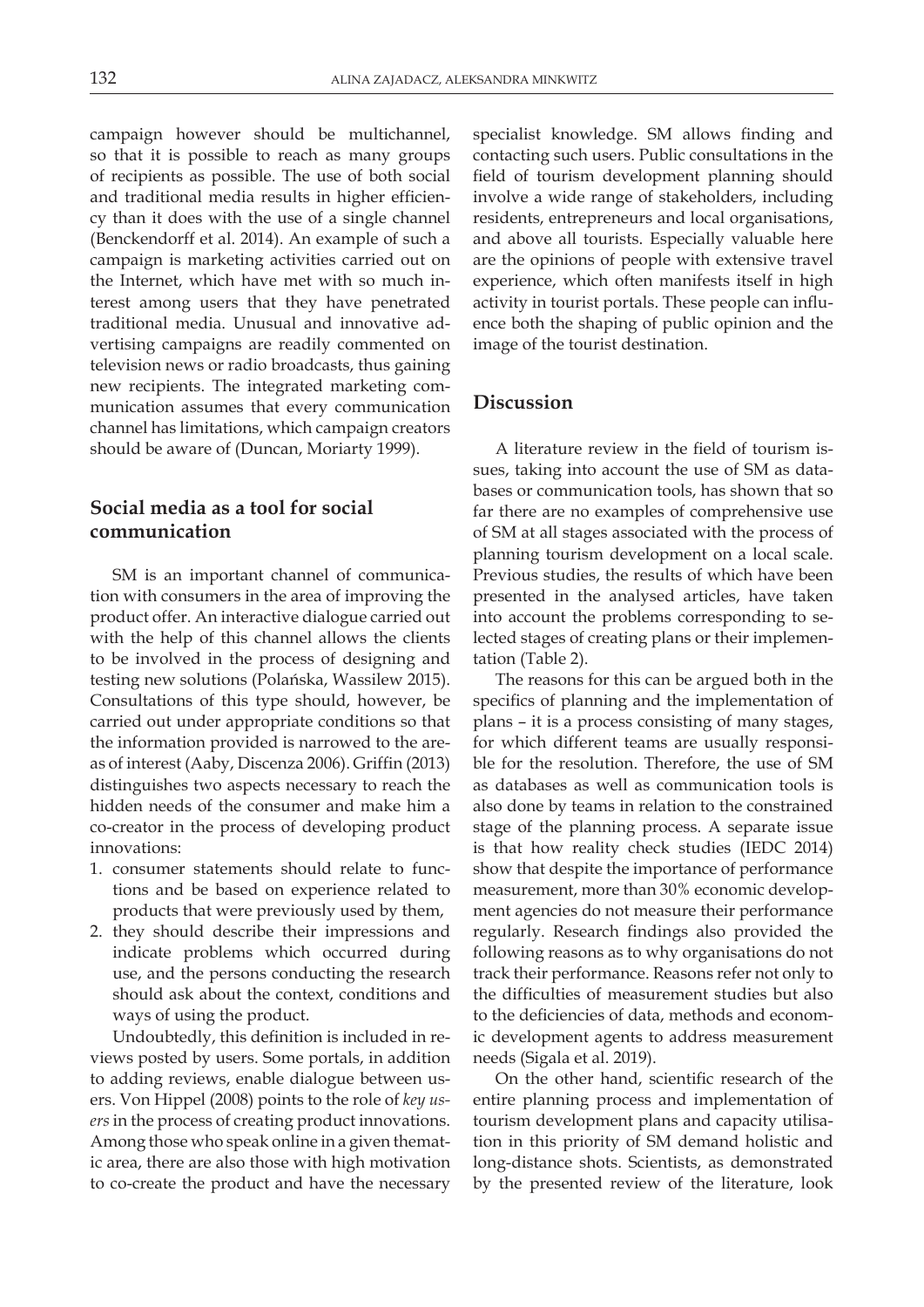campaign however should be multichannel, so that it is possible to reach as many groups of recipients as possible. The use of both social and traditional media results in higher efficiency than it does with the use of a single channel (Benckendorff et al. 2014). An example of such a campaign is marketing activities carried out on the Internet, which have met with so much interest among users that they have penetrated traditional media. Unusual and innovative advertising campaigns are readily commented on television news or radio broadcasts, thus gaining new recipients. The integrated marketing communication assumes that every communication channel has limitations, which campaign creators should be aware of (Duncan, Moriarty 1999).

## **Social media as a tool for social communication**

SM is an important channel of communication with consumers in the area of improving the product offer. An interactive dialogue carried out with the help of this channel allows the clients to be involved in the process of designing and testing new solutions (Polańska, Wassilew 2015). Consultations of this type should, however, be carried out under appropriate conditions so that the information provided is narrowed to the areas of interest (Aaby, Discenza 2006). Griffin (2013) distinguishes two aspects necessary to reach the hidden needs of the consumer and make him a co-creator in the process of developing product innovations:

- 1. consumer statements should relate to functions and be based on experience related to products that were previously used by them,
- 2. they should describe their impressions and indicate problems which occurred during use, and the persons conducting the research should ask about the context, conditions and ways of using the product.

Undoubtedly, this definition is included in reviews posted by users. Some portals, in addition to adding reviews, enable dialogue between users. Von Hippel (2008) points to the role of *key users* in the process of creating product innovations. Among those who speak online in a given thematic area, there are also those with high motivation to co-create the product and have the necessary

specialist knowledge. SM allows finding and contacting such users. Public consultations in the field of tourism development planning should involve a wide range of stakeholders, including residents, entrepreneurs and local organisations, and above all tourists. Especially valuable here are the opinions of people with extensive travel experience, which often manifests itself in high activity in tourist portals. These people can influence both the shaping of public opinion and the image of the tourist destination.

### **Discussion**

A literature review in the field of tourism issues, taking into account the use of SM as databases or communication tools, has shown that so far there are no examples of comprehensive use of SM at all stages associated with the process of planning tourism development on a local scale. Previous studies, the results of which have been presented in the analysed articles, have taken into account the problems corresponding to selected stages of creating plans or their implementation (Table 2).

The reasons for this can be argued both in the specifics of planning and the implementation of plans – it is a process consisting of many stages, for which different teams are usually responsible for the resolution. Therefore, the use of SM as databases as well as communication tools is also done by teams in relation to the constrained stage of the planning process. A separate issue is that how reality check studies (IEDC 2014) show that despite the importance of performance measurement, more than 30% economic development agencies do not measure their performance regularly. Research findings also provided the following reasons as to why organisations do not track their performance. Reasons refer not only to the difficulties of measurement studies but also to the deficiencies of data, methods and economic development agents to address measurement needs (Sigala et al. 2019).

On the other hand, scientific research of the entire planning process and implementation of tourism development plans and capacity utilisation in this priority of SM demand holistic and long-distance shots. Scientists, as demonstrated by the presented review of the literature, look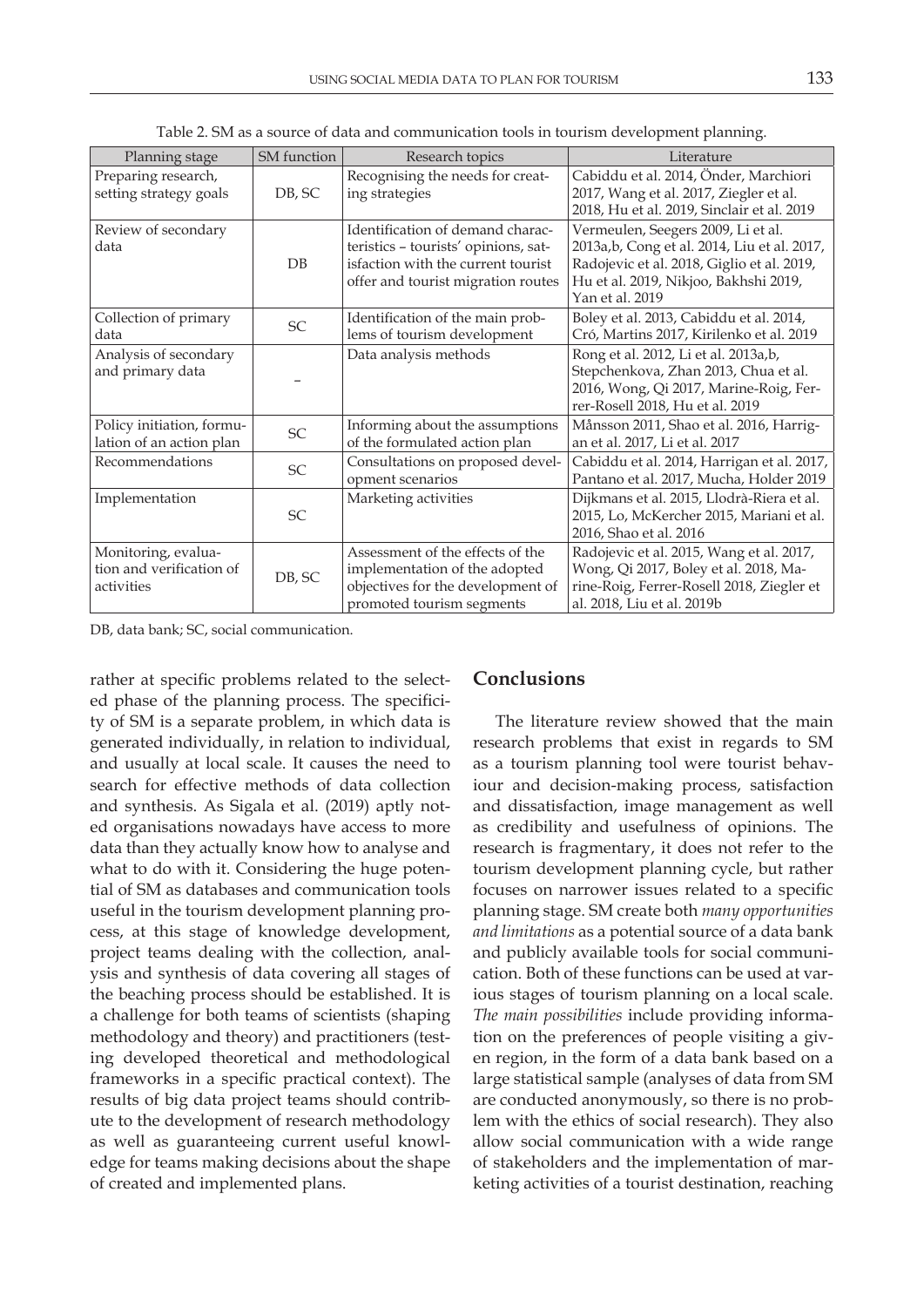| Planning stage                                                | SM function | Research topics                                                                                                                                      | Literature                                                                                                                                                                                   |
|---------------------------------------------------------------|-------------|------------------------------------------------------------------------------------------------------------------------------------------------------|----------------------------------------------------------------------------------------------------------------------------------------------------------------------------------------------|
| Preparing research,<br>setting strategy goals                 | DB, SC      | Recognising the needs for creat-<br>ing strategies                                                                                                   | Cabiddu et al. 2014, Önder, Marchiori<br>2017, Wang et al. 2017, Ziegler et al.<br>2018, Hu et al. 2019, Sinclair et al. 2019                                                                |
| Review of secondary<br>data                                   | $DB$        | Identification of demand charac-<br>teristics - tourists' opinions, sat-<br>isfaction with the current tourist<br>offer and tourist migration routes | Vermeulen, Seegers 2009, Li et al.<br>2013a, b, Cong et al. 2014, Liu et al. 2017,<br>Radojevic et al. 2018, Giglio et al. 2019,<br>Hu et al. 2019, Nikjoo, Bakhshi 2019,<br>Yan et al. 2019 |
| Collection of primary<br>data                                 | <b>SC</b>   | Identification of the main prob-<br>lems of tourism development                                                                                      | Boley et al. 2013, Cabiddu et al. 2014,<br>Cró, Martins 2017, Kirilenko et al. 2019                                                                                                          |
| Analysis of secondary<br>and primary data                     |             | Data analysis methods                                                                                                                                | Rong et al. 2012, Li et al. 2013a,b,<br>Stepchenkova, Zhan 2013, Chua et al.<br>2016, Wong, Qi 2017, Marine-Roig, Fer-<br>rer-Rosell 2018, Hu et al. 2019                                    |
| Policy initiation, formu-<br>lation of an action plan         | SC          | Informing about the assumptions<br>of the formulated action plan                                                                                     | Månsson 2011, Shao et al. 2016, Harrig-<br>an et al. 2017, Li et al. 2017                                                                                                                    |
| Recommendations                                               | <b>SC</b>   | Consultations on proposed devel-<br>opment scenarios                                                                                                 | Cabiddu et al. 2014, Harrigan et al. 2017,<br>Pantano et al. 2017, Mucha, Holder 2019                                                                                                        |
| Implementation                                                | <b>SC</b>   | Marketing activities                                                                                                                                 | Dijkmans et al. 2015, Llodrà-Riera et al.<br>2015, Lo, McKercher 2015, Mariani et al.<br>2016, Shao et al. 2016                                                                              |
| Monitoring, evalua-<br>tion and verification of<br>activities | DB, SC      | Assessment of the effects of the<br>implementation of the adopted<br>objectives for the development of<br>promoted tourism segments                  | Radojevic et al. 2015, Wang et al. 2017,<br>Wong, Qi 2017, Boley et al. 2018, Ma-<br>rine-Roig, Ferrer-Rosell 2018, Ziegler et<br>al. 2018, Liu et al. 2019b                                 |

Table 2. SM as a source of data and communication tools in tourism development planning.

DB, data bank; SC, social communication.

rather at specific problems related to the selected phase of the planning process. The specificity of SM is a separate problem, in which data is generated individually, in relation to individual, and usually at local scale. It causes the need to search for effective methods of data collection and synthesis. As Sigala et al. (2019) aptly noted organisations nowadays have access to more data than they actually know how to analyse and what to do with it. Considering the huge potential of SM as databases and communication tools useful in the tourism development planning process, at this stage of knowledge development, project teams dealing with the collection, analysis and synthesis of data covering all stages of the beaching process should be established. It is a challenge for both teams of scientists (shaping methodology and theory) and practitioners (testing developed theoretical and methodological frameworks in a specific practical context). The results of big data project teams should contribute to the development of research methodology as well as guaranteeing current useful knowledge for teams making decisions about the shape of created and implemented plans.

### **Conclusions**

The literature review showed that the main research problems that exist in regards to SM as a tourism planning tool were tourist behaviour and decision-making process, satisfaction and dissatisfaction, image management as well as credibility and usefulness of opinions. The research is fragmentary, it does not refer to the tourism development planning cycle, but rather focuses on narrower issues related to a specific planning stage. SM create both *many opportunities and limitations* as a potential source of a data bank and publicly available tools for social communication. Both of these functions can be used at various stages of tourism planning on a local scale. *The main possibilities* include providing information on the preferences of people visiting a given region, in the form of a data bank based on a large statistical sample (analyses of data from SM are conducted anonymously, so there is no problem with the ethics of social research). They also allow social communication with a wide range of stakeholders and the implementation of marketing activities of a tourist destination, reaching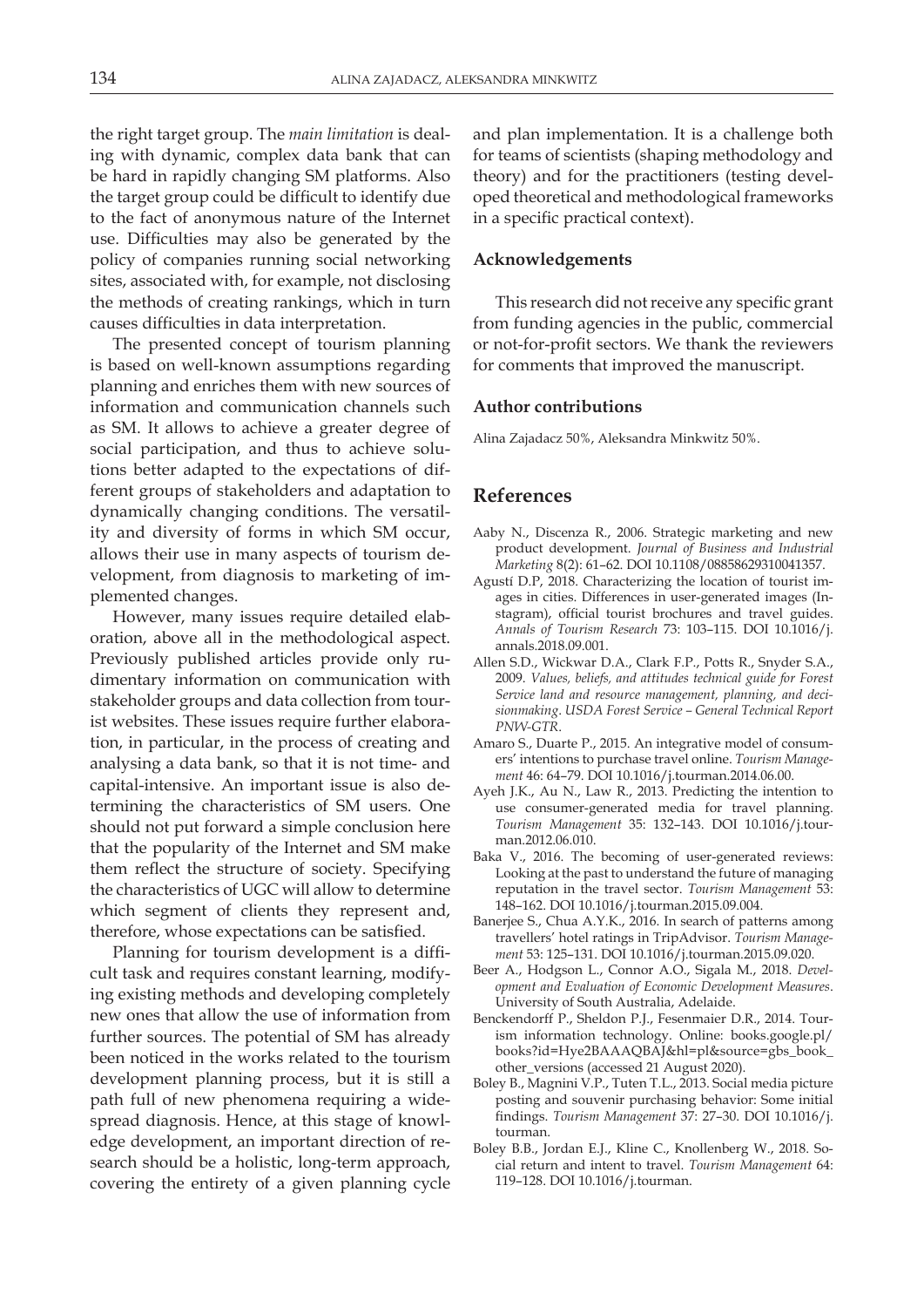the right target group. The *main limitation* is dealing with dynamic, complex data bank that can be hard in rapidly changing SM platforms. Also the target group could be difficult to identify due to the fact of anonymous nature of the Internet use. Difficulties may also be generated by the policy of companies running social networking sites, associated with, for example, not disclosing the methods of creating rankings, which in turn causes difficulties in data interpretation.

The presented concept of tourism planning is based on well-known assumptions regarding planning and enriches them with new sources of information and communication channels such as SM. It allows to achieve a greater degree of social participation, and thus to achieve solutions better adapted to the expectations of different groups of stakeholders and adaptation to dynamically changing conditions. The versatility and diversity of forms in which SM occur, allows their use in many aspects of tourism development, from diagnosis to marketing of implemented changes.

However, many issues require detailed elaboration, above all in the methodological aspect. Previously published articles provide only rudimentary information on communication with stakeholder groups and data collection from tourist websites. These issues require further elaboration, in particular, in the process of creating and analysing a data bank, so that it is not time- and capital-intensive. An important issue is also determining the characteristics of SM users. One should not put forward a simple conclusion here that the popularity of the Internet and SM make them reflect the structure of society. Specifying the characteristics of UGC will allow to determine which segment of clients they represent and, therefore, whose expectations can be satisfied.

Planning for tourism development is a difficult task and requires constant learning, modifying existing methods and developing completely new ones that allow the use of information from further sources. The potential of SM has already been noticed in the works related to the tourism development planning process, but it is still a path full of new phenomena requiring a widespread diagnosis. Hence, at this stage of knowledge development, an important direction of research should be a holistic, long-term approach, covering the entirety of a given planning cycle

and plan implementation. It is a challenge both for teams of scientists (shaping methodology and theory) and for the practitioners (testing developed theoretical and methodological frameworks in a specific practical context).

#### **Acknowledgements**

This research did not receive any specific grant from funding agencies in the public, commercial or not-for-profit sectors. We thank the reviewers for comments that improved the manuscript.

#### **Author contributions**

Alina Zajadacz 50%, Aleksandra Minkwitz 50%.

### **References**

- Aaby N., Discenza R., 2006. Strategic marketing and new product development. *Journal of Business and Industrial Marketing* 8(2): 61–62. DOI 10.1108/08858629310041357.
- Agustí D.P, 2018. Characterizing the location of tourist images in cities. Differences in user-generated images (Instagram), official tourist brochures and travel guides. *Annals of Tourism Research* 73: 103–115. DOI 10.1016/j. annals.2018.09.001.
- Allen S.D., Wickwar D.A., Clark F.P., Potts R., Snyder S.A., 2009. *Values, beliefs, and attitudes technical guide for Forest Service land and resource management, planning, and decisionmaking*. *USDA Forest Service – General Technical Report PNW-GTR*.
- Amaro S., Duarte P., 2015. An integrative model of consumers' intentions to purchase travel online. *Tourism Management* 46: 64–79. DOI 10.1016/j.tourman.2014.06.00.
- Ayeh J.K., Au N., Law R., 2013. Predicting the intention to use consumer-generated media for travel planning. *Tourism Management* 35: 132–143. DOI 10.1016/j.tourman.2012.06.010.
- Baka V., 2016. The becoming of user-generated reviews: Looking at the past to understand the future of managing reputation in the travel sector. *Tourism Management* 53: 148–162. DOI 10.1016/j.tourman.2015.09.004.
- Banerjee S., Chua A.Y.K., 2016. In search of patterns among travellers' hotel ratings in TripAdvisor. *Tourism Management* 53: 125–131. DOI 10.1016/j.tourman.2015.09.020.
- Beer A., Hodgson L., Connor A.O., Sigala M., 2018. *Development and Evaluation of Economic Development Measures*. University of South Australia, Adelaide.
- Benckendorff P., Sheldon P.J., Fesenmaier D.R., 2014. Tourism information technology. Online: books.google.pl/ books?id=Hye2BAAAQBAJ&hl=pl&source=gbs\_book\_ other\_versions (accessed 21 August 2020).
- Boley B., Magnini V.P., Tuten T.L., 2013. Social media picture posting and souvenir purchasing behavior: Some initial findings. *Tourism Management* 37: 27–30. DOI 10.1016/j. tourman.
- Boley B.B., Jordan E.J., Kline C., Knollenberg W., 2018. Social return and intent to travel. *Tourism Management* 64: 119–128. DOI 10.1016/j.tourman.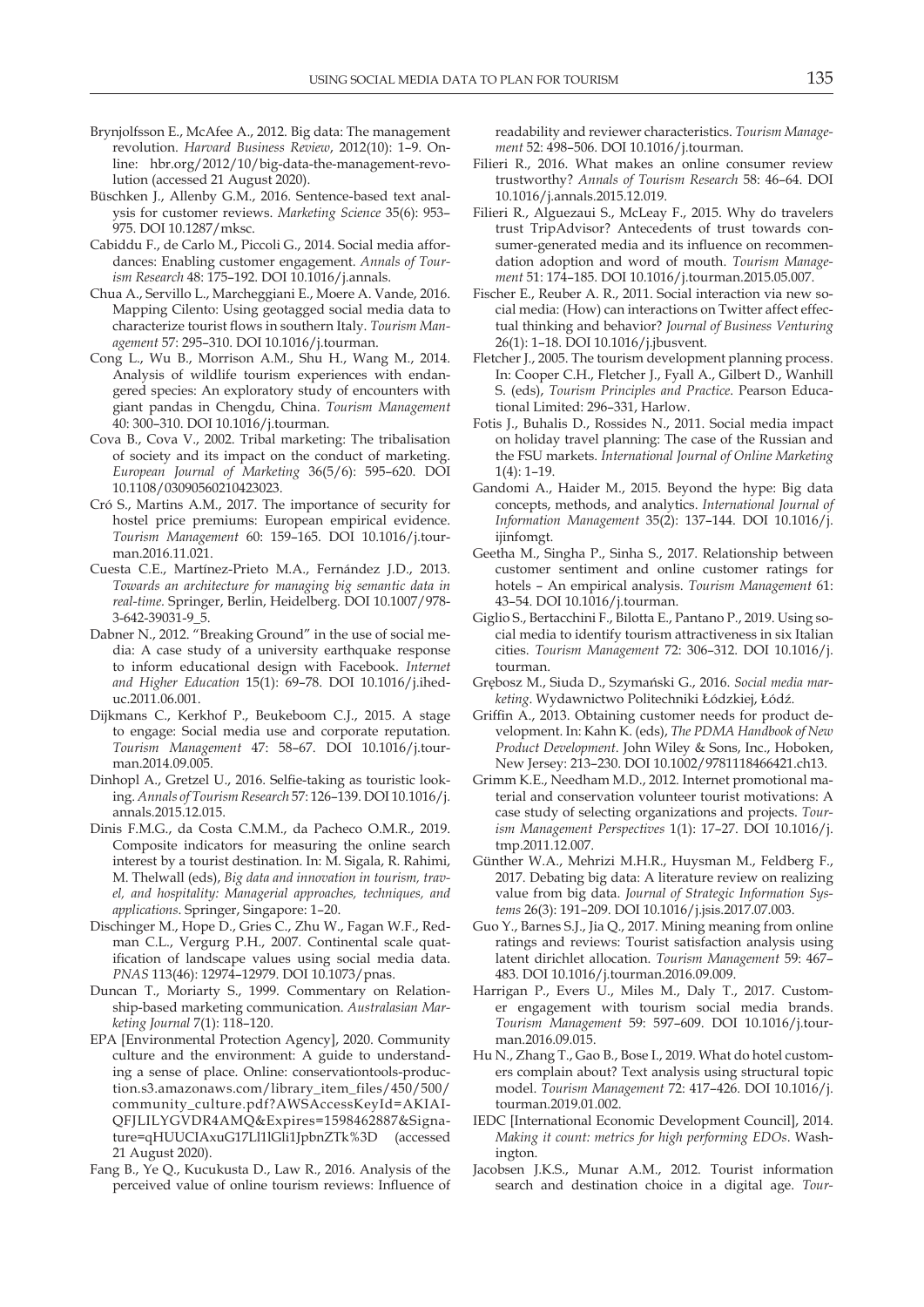- Brynjolfsson E., McAfee A., 2012. Big data: The management revolution. *Harvard Business Review*, 2012(10): 1–9. Online: hbr.org/2012/10/big-data-the-management-revolution (accessed 21 August 2020).
- Büschken J., Allenby G.M., 2016. Sentence-based text analysis for customer reviews. *Marketing Science* 35(6): 953– 975. DOI 10.1287/mksc.
- Cabiddu F., de Carlo M., Piccoli G., 2014. Social media affordances: Enabling customer engagement. *Annals of Tourism Research* 48: 175–192. DOI 10.1016/j.annals.
- Chua A., Servillo L., Marcheggiani E., Moere A. Vande, 2016. Mapping Cilento: Using geotagged social media data to characterize tourist flows in southern Italy. *Tourism Management* 57: 295–310. DOI 10.1016/j.tourman.
- Cong L., Wu B., Morrison A.M., Shu H., Wang M., 2014. Analysis of wildlife tourism experiences with endangered species: An exploratory study of encounters with giant pandas in Chengdu, China. *Tourism Management* 40: 300–310. DOI 10.1016/j.tourman.
- Cova B., Cova V., 2002. Tribal marketing: The tribalisation of society and its impact on the conduct of marketing. *European Journal of Marketing* 36(5/6): 595–620. DOI 10.1108/03090560210423023.
- Cró S., Martins A.M., 2017. The importance of security for hostel price premiums: European empirical evidence. *Tourism Management* 60: 159–165. DOI 10.1016/j.tourman.2016.11.021.
- Cuesta C.E., Martínez-Prieto M.A., Fernández J.D., 2013. *Towards an architecture for managing big semantic data in real-time.* Springer, Berlin, Heidelberg. DOI 10.1007/978- 3-642-39031-9\_5.
- Dabner N., 2012. "Breaking Ground" in the use of social media: A case study of a university earthquake response to inform educational design with Facebook. *Internet and Higher Education* 15(1): 69–78. DOI 10.1016/j.iheduc.2011.06.001.
- Dijkmans C., Kerkhof P., Beukeboom C.J., 2015. A stage to engage: Social media use and corporate reputation. *Tourism Management* 47: 58–67. DOI 10.1016/j.tourman.2014.09.005.
- Dinhopl A., Gretzel U., 2016. Selfie-taking as touristic looking. *Annals of Tourism Research* 57: 126–139. DOI 10.1016/j. annals.2015.12.015.
- Dinis F.M.G., da Costa C.M.M., da Pacheco O.M.R., 2019. Composite indicators for measuring the online search interest by a tourist destination. In: M. Sigala, R. Rahimi, M. Thelwall (eds), *Big data and innovation in tourism, travel, and hospitality: Managerial approaches, techniques, and applications*. Springer, Singapore: 1–20.
- Dischinger M., Hope D., Gries C., Zhu W., Fagan W.F., Redman C.L., Vergurg P.H., 2007. Continental scale quatification of landscape values using social media data. *PNAS* 113(46): 12974–12979. DOI 10.1073/pnas.
- Duncan T., Moriarty S., 1999. Commentary on Relationship-based marketing communication. *Australasian Marketing Journal* 7(1): 118–120.
- EPA [Environmental Protection Agency], 2020. Community culture and the environment: A guide to understanding a sense of place. Online: conservationtools-production.s3.amazonaws.com/library\_item\_files/450/500/ community\_culture.pdf?AWSAccessKeyId=AKIAI-QFJLILYGVDR4AMQ&Expires=1598462887&Signature=qHUUCIAxuG17Ll1lGli1JpbnZTk%3D (accessed 21 August 2020).
- Fang B., Ye Q., Kucukusta D., Law R., 2016. Analysis of the perceived value of online tourism reviews: Influence of

readability and reviewer characteristics. *Tourism Management* 52: 498–506. DOI 10.1016/j.tourman.

- Filieri R., 2016. What makes an online consumer review trustworthy? *Annals of Tourism Research* 58: 46–64. DOI 10.1016/j.annals.2015.12.019.
- Filieri R., Alguezaui S., McLeay F., 2015. Why do travelers trust TripAdvisor? Antecedents of trust towards consumer-generated media and its influence on recommendation adoption and word of mouth. *Tourism Management* 51: 174–185. DOI 10.1016/j.tourman.2015.05.007.
- Fischer E., Reuber A. R., 2011. Social interaction via new social media: (How) can interactions on Twitter affect effectual thinking and behavior? *Journal of Business Venturing*  26(1): 1–18. DOI 10.1016/j.jbusvent.
- Fletcher J., 2005. The tourism development planning process. In: Cooper C.H., Fletcher J., Fyall A., Gilbert D., Wanhill S. (eds), *Tourism Principles and Practice*. Pearson Educational Limited: 296–331, Harlow.
- Fotis J., Buhalis D., Rossides N., 2011. Social media impact on holiday travel planning: The case of the Russian and the FSU markets. *International Journal of Online Marketing*  1(4): 1–19.
- Gandomi A., Haider M., 2015. Beyond the hype: Big data concepts, methods, and analytics. *International Journal of Information Management* 35(2): 137–144. DOI 10.1016/j. ijinfomgt.
- Geetha M., Singha P., Sinha S., 2017. Relationship between customer sentiment and online customer ratings for hotels – An empirical analysis. *Tourism Management* 61: 43–54. DOI 10.1016/j.tourman.
- Giglio S., Bertacchini F., Bilotta E., Pantano P., 2019. Using social media to identify tourism attractiveness in six Italian cities. *Tourism Management* 72: 306–312. DOI 10.1016/j. tourman.
- Grębosz M., Siuda D., Szymański G., 2016. *Social media marketing*. Wydawnictwo Politechniki Łódzkiej, Łódź.
- Griffin A., 2013. Obtaining customer needs for product development. In: Kahn K. (eds), *The PDMA Handbook of New Product Development*. John Wiley & Sons, Inc., Hoboken, New Jersey: 213–230. DOI 10.1002/9781118466421.ch13.
- Grimm K.E., Needham M.D., 2012. Internet promotional material and conservation volunteer tourist motivations: A case study of selecting organizations and projects. *Tourism Management Perspectives* 1(1): 17–27. DOI 10.1016/j. tmp.2011.12.007.
- Günther W.A., Mehrizi M.H.R., Huysman M., Feldberg F., 2017. Debating big data: A literature review on realizing value from big data. *Journal of Strategic Information Systems* 26(3): 191–209. DOI 10.1016/j.jsis.2017.07.003.
- Guo Y., Barnes S.J., Jia Q., 2017. Mining meaning from online ratings and reviews: Tourist satisfaction analysis using latent dirichlet allocation. *Tourism Management* 59: 467– 483. DOI 10.1016/j.tourman.2016.09.009.
- Harrigan P., Evers U., Miles M., Daly T., 2017. Customer engagement with tourism social media brands. *Tourism Management* 59: 597–609. DOI 10.1016/j.tourman.2016.09.015.
- Hu N., Zhang T., Gao B., Bose I., 2019. What do hotel customers complain about? Text analysis using structural topic model. *Tourism Management* 72: 417–426. DOI 10.1016/j. tourman.2019.01.002.
- IEDC [International Economic Development Council], 2014. *Making it count: metrics for high performing EDOs*. Washington.
- Jacobsen J.K.S., Munar A.M., 2012. Tourist information search and destination choice in a digital age. *Tour-*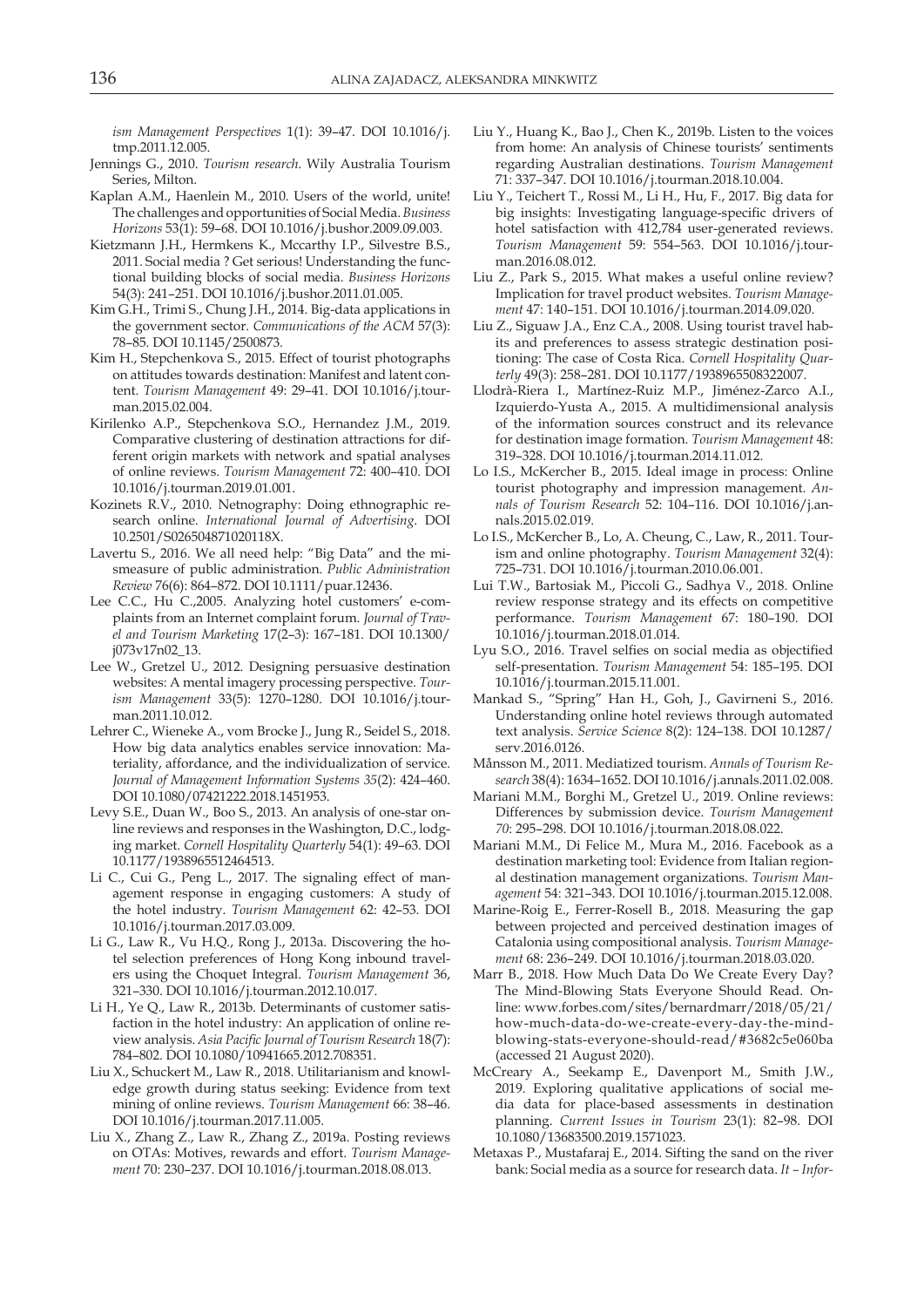*ism Management Perspectives* 1(1): 39–47. DOI 10.1016/j. tmp.2011.12.005.

- Jennings G., 2010. *Tourism research*. Wily Australia Tourism Series, Milton.
- Kaplan A.M., Haenlein M., 2010. Users of the world, unite! The challenges and opportunities of Social Media. *Business Horizons* 53(1): 59–68. DOI 10.1016/j.bushor.2009.09.003.
- Kietzmann J.H., Hermkens K., Mccarthy I.P., Silvestre B.S., 2011. Social media ? Get serious! Understanding the functional building blocks of social media. *Business Horizons* 54(3): 241–251. DOI 10.1016/j.bushor.2011.01.005.
- Kim G.H., Trimi S., Chung J.H., 2014. Big-data applications in the government sector. *Communications of the ACM* 57(3): 78–85. DOI 10.1145/2500873.
- Kim H., Stepchenkova S., 2015. Effect of tourist photographs on attitudes towards destination: Manifest and latent content. *Tourism Management* 49: 29–41. DOI 10.1016/j.tourman.2015.02.004.
- Kirilenko A.P., Stepchenkova S.O., Hernandez J.M., 2019. Comparative clustering of destination attractions for different origin markets with network and spatial analyses of online reviews. *Tourism Management* 72: 400–410. DOI 10.1016/j.tourman.2019.01.001.
- Kozinets R.V., 2010. Netnography: Doing ethnographic research online. *International Journal of Advertising*. DOI 10.2501/S026504871020118X.
- Lavertu S., 2016. We all need help: "Big Data" and the mismeasure of public administration. *Public Administration Review* 76(6): 864–872. DOI 10.1111/puar.12436.
- Lee C.C., Hu C.,2005. Analyzing hotel customers' e-complaints from an Internet complaint forum. *Journal of Travel and Tourism Marketing* 17(2–3): 167–181. DOI 10.1300/ j073v17n02\_13.
- Lee W., Gretzel U., 2012. Designing persuasive destination websites: A mental imagery processing perspective. *Tourism Management* 33(5): 1270–1280. DOI 10.1016/j.tourman.2011.10.012.
- Lehrer C., Wieneke A., vom Brocke J., Jung R., Seidel S., 2018. How big data analytics enables service innovation: Materiality, affordance, and the individualization of service. *Journal of Management Information Systems 35*(2): 424–460. DOI 10.1080/07421222.2018.1451953.
- Levy S.E., Duan W., Boo S., 2013. An analysis of one-star online reviews and responses in the Washington, D.C., lodging market. *Cornell Hospitality Quarterly* 54(1): 49–63. DOI 10.1177/1938965512464513.
- Li C., Cui G., Peng L., 2017. The signaling effect of management response in engaging customers: A study of the hotel industry. *Tourism Management* 62: 42–53. DOI 10.1016/j.tourman.2017.03.009.
- Li G., Law R., Vu H.Q., Rong J., 2013a. Discovering the hotel selection preferences of Hong Kong inbound travelers using the Choquet Integral. *Tourism Management* 36, 321–330. DOI 10.1016/j.tourman.2012.10.017.
- Li H., Ye Q., Law R., 2013b. Determinants of customer satisfaction in the hotel industry: An application of online review analysis. *Asia Pacific Journal of Tourism Research* 18(7): 784–802. DOI 10.1080/10941665.2012.708351.
- Liu X., Schuckert M., Law R., 2018. Utilitarianism and knowledge growth during status seeking: Evidence from text mining of online reviews. *Tourism Management* 66: 38–46. DOI 10.1016/j.tourman.2017.11.005.
- Liu X., Zhang Z., Law R., Zhang Z., 2019a. Posting reviews on OTAs: Motives, rewards and effort. *Tourism Management* 70: 230–237. DOI 10.1016/j.tourman.2018.08.013.
- Liu Y., Huang K., Bao J., Chen K., 2019b. Listen to the voices from home: An analysis of Chinese tourists' sentiments regarding Australian destinations. *Tourism Management* 71: 337–347. DOI 10.1016/j.tourman.2018.10.004.
- Liu Y., Teichert T., Rossi M., Li H., Hu, F., 2017. Big data for big insights: Investigating language-specific drivers of hotel satisfaction with 412,784 user-generated reviews. *Tourism Management* 59: 554–563. DOI 10.1016/j.tourman.2016.08.012.
- Liu Z., Park S., 2015. What makes a useful online review? Implication for travel product websites. *Tourism Management* 47: 140–151. DOI 10.1016/j.tourman.2014.09.020.
- Liu Z., Siguaw J.A., Enz C.A., 2008. Using tourist travel habits and preferences to assess strategic destination positioning: The case of Costa Rica. *Cornell Hospitality Quarterly* 49(3): 258–281. DOI 10.1177/1938965508322007.
- Llodrà-Riera I., Martínez-Ruiz M.P., Jiménez-Zarco A.I., Izquierdo-Yusta A., 2015. A multidimensional analysis of the information sources construct and its relevance for destination image formation. *Tourism Management* 48: 319–328. DOI 10.1016/j.tourman.2014.11.012.
- Lo I.S., McKercher B., 2015. Ideal image in process: Online tourist photography and impression management. *Annals of Tourism Research* 52: 104–116. DOI 10.1016/j.annals.2015.02.019.
- Lo I.S., McKercher B., Lo, A. Cheung, C., Law, R., 2011. Tourism and online photography. *Tourism Management* 32(4): 725–731. DOI 10.1016/j.tourman.2010.06.001.
- Lui T.W., Bartosiak M., Piccoli G., Sadhya V., 2018. Online review response strategy and its effects on competitive performance. *Tourism Management* 67: 180–190. DOI 10.1016/j.tourman.2018.01.014.
- Lyu S.O., 2016. Travel selfies on social media as objectified self-presentation. *Tourism Management* 54: 185–195. DOI 10.1016/j.tourman.2015.11.001.
- Mankad S., "Spring" Han H., Goh, J., Gavirneni S., 2016. Understanding online hotel reviews through automated text analysis. *Service Science* 8(2): 124–138. DOI 10.1287/ serv.2016.0126.
- Månsson M., 2011. Mediatized tourism. *Annals of Tourism Research* 38(4): 1634–1652. DOI 10.1016/j.annals.2011.02.008.
- Mariani M.M., Borghi M., Gretzel U., 2019. Online reviews: Differences by submission device. *Tourism Management 70*: 295–298. DOI 10.1016/j.tourman.2018.08.022.
- Mariani M.M., Di Felice M., Mura M., 2016. Facebook as a destination marketing tool: Evidence from Italian regional destination management organizations. *Tourism Management* 54: 321–343. DOI 10.1016/j.tourman.2015.12.008.
- Marine-Roig E., Ferrer-Rosell B., 2018. Measuring the gap between projected and perceived destination images of Catalonia using compositional analysis. *Tourism Management* 68: 236–249. DOI 10.1016/j.tourman.2018.03.020.
- Marr B., 2018. How Much Data Do We Create Every Day? The Mind-Blowing Stats Everyone Should Read. Online: www.forbes.com/sites/bernardmarr/2018/05/21/ how-much-data-do-we-create-every-day-the-mindblowing-stats-everyone-should-read/#3682c5e060ba (accessed 21 August 2020).
- McCreary A., Seekamp E., Davenport M., Smith J.W., 2019. Exploring qualitative applications of social media data for place-based assessments in destination planning. *Current Issues in Tourism* 23(1): 82–98. DOI 10.1080/13683500.2019.1571023.
- Metaxas P., Mustafaraj E., 2014. Sifting the sand on the river bank: Social media as a source for research data. *It – Infor-*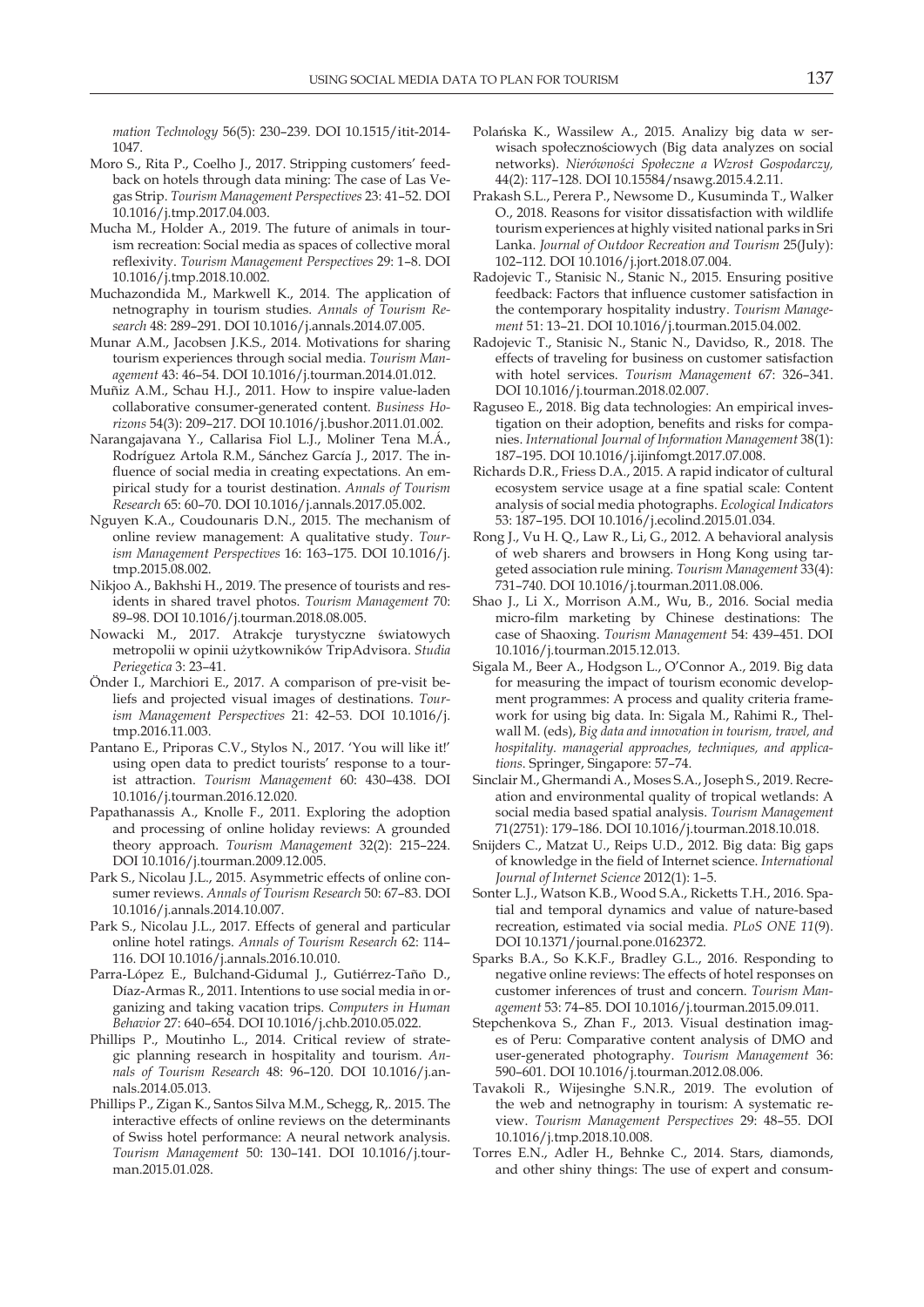*mation Technology* 56(5): 230–239. DOI 10.1515/itit-2014- 1047.

- Moro S., Rita P., Coelho J., 2017. Stripping customers' feedback on hotels through data mining: The case of Las Vegas Strip. *Tourism Management Perspectives* 23: 41–52. DOI 10.1016/j.tmp.2017.04.003.
- Mucha M., Holder A., 2019. The future of animals in tourism recreation: Social media as spaces of collective moral reflexivity. *Tourism Management Perspectives* 29: 1–8. DOI 10.1016/j.tmp.2018.10.002.
- Muchazondida M., Markwell K., 2014. The application of netnography in tourism studies. *Annals of Tourism Research* 48: 289–291. DOI 10.1016/j.annals.2014.07.005.
- Munar A.M., Jacobsen J.K.S., 2014. Motivations for sharing tourism experiences through social media. *Tourism Management* 43: 46–54. DOI 10.1016/j.tourman.2014.01.012.
- Muñiz A.M., Schau H.J., 2011. How to inspire value-laden collaborative consumer-generated content. *Business Horizons* 54(3): 209–217. DOI 10.1016/j.bushor.2011.01.002.
- Narangajavana Y., Callarisa Fiol L.J., Moliner Tena M.Á., Rodríguez Artola R.M., Sánchez García J., 2017. The influence of social media in creating expectations. An empirical study for a tourist destination. *Annals of Tourism Research* 65: 60–70. DOI 10.1016/j.annals.2017.05.002.
- Nguyen K.A., Coudounaris D.N., 2015. The mechanism of online review management: A qualitative study. *Tourism Management Perspectives* 16: 163–175. DOI 10.1016/j. tmp.2015.08.002.
- Nikjoo A., Bakhshi H., 2019. The presence of tourists and residents in shared travel photos. *Tourism Management* 70: 89–98. DOI 10.1016/j.tourman.2018.08.005.
- Nowacki M., 2017. Atrakcje turystyczne światowych metropolii w opinii użytkowników TripAdvisora. *Studia Periegetica* 3: 23–41.
- Önder I., Marchiori E., 2017. A comparison of pre-visit beliefs and projected visual images of destinations. *Tourism Management Perspectives* 21: 42–53. DOI 10.1016/j. tmp.2016.11.003.
- Pantano E., Priporas C.V., Stylos N., 2017. 'You will like it!' using open data to predict tourists' response to a tourist attraction. *Tourism Management* 60: 430–438. DOI 10.1016/j.tourman.2016.12.020.
- Papathanassis A., Knolle F., 2011. Exploring the adoption and processing of online holiday reviews: A grounded theory approach. *Tourism Management* 32(2): 215–224. DOI 10.1016/j.tourman.2009.12.005.
- Park S., Nicolau J.L., 2015. Asymmetric effects of online consumer reviews. *Annals of Tourism Research* 50: 67–83. DOI 10.1016/j.annals.2014.10.007.
- Park S., Nicolau J.L., 2017. Effects of general and particular online hotel ratings. *Annals of Tourism Research* 62: 114– 116. DOI 10.1016/j.annals.2016.10.010.
- Parra-López E., Bulchand-Gidumal J., Gutiérrez-Taño D., Díaz-Armas R., 2011. Intentions to use social media in organizing and taking vacation trips. *Computers in Human Behavior* 27: 640–654. DOI 10.1016/j.chb.2010.05.022.
- Phillips P., Moutinho L., 2014. Critical review of strategic planning research in hospitality and tourism. *Annals of Tourism Research* 48: 96–120. DOI 10.1016/j.annals.2014.05.013.
- Phillips P., Zigan K., Santos Silva M.M., Schegg, R,. 2015. The interactive effects of online reviews on the determinants of Swiss hotel performance: A neural network analysis. *Tourism Management* 50: 130–141. DOI 10.1016/j.tourman.2015.01.028.
- Polańska K., Wassilew A., 2015. Analizy big data w serwisach społecznościowych (Big data analyzes on social networks). *Nierówności Społeczne a Wzrost Gospodarczy,*  44(2): 117–128. DOI 10.15584/nsawg.2015.4.2.11.
- Prakash S.L., Perera P., Newsome D., Kusuminda T., Walker O., 2018. Reasons for visitor dissatisfaction with wildlife tourism experiences at highly visited national parks in Sri Lanka. *Journal of Outdoor Recreation and Tourism* 25(July): 102–112. DOI 10.1016/j.jort.2018.07.004.
- Radojevic T., Stanisic N., Stanic N., 2015. Ensuring positive feedback: Factors that influence customer satisfaction in the contemporary hospitality industry. *Tourism Management* 51: 13–21. DOI 10.1016/j.tourman.2015.04.002.
- Radojevic T., Stanisic N., Stanic N., Davidso, R., 2018. The effects of traveling for business on customer satisfaction with hotel services. *Tourism Management* 67: 326–341. DOI 10.1016/j.tourman.2018.02.007.
- Raguseo E., 2018. Big data technologies: An empirical investigation on their adoption, benefits and risks for companies. *International Journal of Information Management* 38(1): 187–195. DOI 10.1016/j.ijinfomgt.2017.07.008.
- Richards D.R., Friess D.A., 2015. A rapid indicator of cultural ecosystem service usage at a fine spatial scale: Content analysis of social media photographs. *Ecological Indicators* 53: 187–195. DOI 10.1016/j.ecolind.2015.01.034.
- Rong J., Vu H. Q., Law R., Li, G., 2012. A behavioral analysis of web sharers and browsers in Hong Kong using targeted association rule mining. *Tourism Management* 33(4): 731–740. DOI 10.1016/j.tourman.2011.08.006.
- Shao J., Li X., Morrison A.M., Wu, B., 2016. Social media micro-film marketing by Chinese destinations: The case of Shaoxing. *Tourism Management* 54: 439–451. DOI 10.1016/j.tourman.2015.12.013.
- Sigala M., Beer A., Hodgson L., O'Connor A., 2019. Big data for measuring the impact of tourism economic development programmes: A process and quality criteria framework for using big data. In: Sigala M., Rahimi R., Thelwall M. (eds), *Big data and innovation in tourism, travel, and hospitality. managerial approaches, techniques, and applications*. Springer, Singapore: 57–74.
- Sinclair M., Ghermandi A., Moses S.A., Joseph S., 2019. Recreation and environmental quality of tropical wetlands: A social media based spatial analysis. *Tourism Management*  71(2751): 179–186. DOI 10.1016/j.tourman.2018.10.018.
- Snijders C., Matzat U., Reips U.D., 2012. Big data: Big gaps of knowledge in the field of Internet science. *International Journal of Internet Science* 2012(1): 1–5.
- Sonter L.J., Watson K.B., Wood S.A., Ricketts T.H., 2016. Spatial and temporal dynamics and value of nature-based recreation, estimated via social media. *PLoS ONE 11*(9). DOI 10.1371/journal.pone.0162372.
- Sparks B.A., So K.K.F., Bradley G.L., 2016. Responding to negative online reviews: The effects of hotel responses on customer inferences of trust and concern. *Tourism Management* 53: 74–85. DOI 10.1016/j.tourman.2015.09.011.
- Stepchenkova S., Zhan F., 2013. Visual destination images of Peru: Comparative content analysis of DMO and user-generated photography. *Tourism Management* 36: 590–601. DOI 10.1016/j.tourman.2012.08.006.
- Tavakoli R., Wijesinghe S.N.R., 2019. The evolution of the web and netnography in tourism: A systematic review. *Tourism Management Perspectives* 29: 48–55. DOI 10.1016/j.tmp.2018.10.008.
- Torres E.N., Adler H., Behnke C., 2014. Stars, diamonds, and other shiny things: The use of expert and consum-